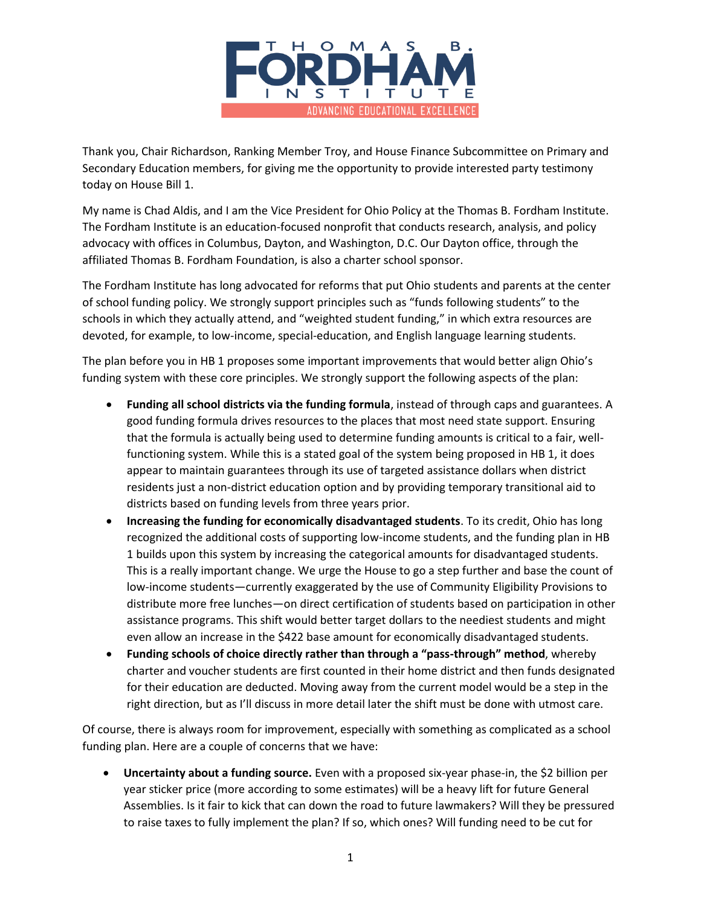

Thank you, Chair Richardson, Ranking Member Troy, and House Finance Subcommittee on Primary and Secondary Education members, for giving me the opportunity to provide interested party testimony today on House Bill 1.

My name is Chad Aldis, and I am the Vice President for Ohio Policy at the Thomas B. Fordham Institute. The Fordham Institute is an education-focused nonprofit that conducts research, analysis, and policy advocacy with offices in Columbus, Dayton, and Washington, D.C. Our Dayton office, through the affiliated Thomas B. Fordham Foundation, is also a charter school sponsor.

The Fordham Institute has long advocated for reforms that put Ohio students and parents at the center of school funding policy. We strongly support principles such as "funds following students" to the schools in which they actually attend, and "weighted student funding," in which extra resources are devoted, for example, to low-income, special-education, and English language learning students.

The plan before you in HB 1 proposes some important improvements that would better align Ohio's funding system with these core principles. We strongly support the following aspects of the plan:

- **Funding all school districts via the funding formula**, instead of through caps and guarantees. A good funding formula drives resources to the places that most need state support. Ensuring that the formula is actually being used to determine funding amounts is critical to a fair, wellfunctioning system. While this is a stated goal of the system being proposed in HB 1, it does appear to maintain guarantees through its use of targeted assistance dollars when district residents just a non-district education option and by providing temporary transitional aid to districts based on funding levels from three years prior.
- **Increasing the funding for economically disadvantaged students**. To its credit, Ohio has long recognized the additional costs of supporting low-income students, and the funding plan in HB 1 builds upon this system by increasing the categorical amounts for disadvantaged students. This is a really important change. We urge the House to go a step further and base the count of low-income students—currently exaggerated by the use of Community Eligibility Provisions to distribute more free lunches—on direct certification of students based on participation in other assistance programs. This shift would better target dollars to the neediest students and might even allow an increase in the \$422 base amount for economically disadvantaged students.
- **Funding schools of choice directly rather than through a "pass-through" method**, whereby charter and voucher students are first counted in their home district and then funds designated for their education are deducted. Moving away from the current model would be a step in the right direction, but as I'll discuss in more detail later the shift must be done with utmost care.

Of course, there is always room for improvement, especially with something as complicated as a school funding plan. Here are a couple of concerns that we have:

 **Uncertainty about a funding source.** Even with a proposed six-year phase-in, the \$2 billion per year sticker price (more according to some estimates) will be a heavy lift for future General Assemblies. Is it fair to kick that can down the road to future lawmakers? Will they be pressured to raise taxes to fully implement the plan? If so, which ones? Will funding need to be cut for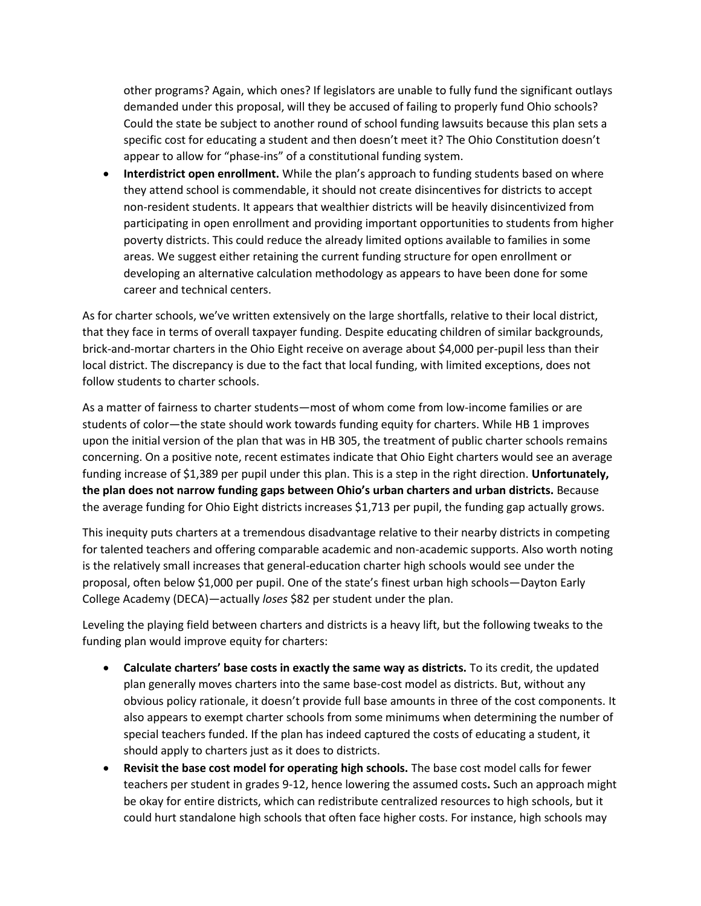other programs? Again, which ones? If legislators are unable to fully fund the significant outlays demanded under this proposal, will they be accused of failing to properly fund Ohio schools? Could the state be subject to another round of school funding lawsuits because this plan sets a specific cost for educating a student and then doesn't meet it? The Ohio Constitution doesn't appear to allow for "phase-ins" of a constitutional funding system.

 **Interdistrict open enrollment.** While the plan's approach to funding students based on where they attend school is commendable, it should not create disincentives for districts to accept non-resident students. It appears that wealthier districts will be heavily disincentivized from participating in open enrollment and providing important opportunities to students from higher poverty districts. This could reduce the already limited options available to families in some areas. We suggest either retaining the current funding structure for open enrollment or developing an alternative calculation methodology as appears to have been done for some career and technical centers.

As for charter schools, we've written extensively on the large shortfalls, relative to their local district, that they face in terms of overall taxpayer funding. Despite educating children of similar backgrounds, brick-and-mortar charters in the Ohio Eight receive on average about \$4,000 per-pupil less than their local district. The discrepancy is due to the fact that local funding, with limited exceptions, does not follow students to charter schools.

As a matter of fairness to charter students—most of whom come from low-income families or are students of color—the state should work towards funding equity for charters. While HB 1 improves upon the initial version of the plan that was in HB 305, the treatment of public charter schools remains concerning. On a positive note, recent estimates indicate that Ohio Eight charters would see an average funding increase of \$1,389 per pupil under this plan. This is a step in the right direction. **Unfortunately, the plan does not narrow funding gaps between Ohio's urban charters and urban districts.** Because the average funding for Ohio Eight districts increases \$1,713 per pupil, the funding gap actually grows.

This inequity puts charters at a tremendous disadvantage relative to their nearby districts in competing for talented teachers and offering comparable academic and non-academic supports. Also worth noting is the relatively small increases that general-education charter high schools would see under the proposal, often below \$1,000 per pupil. One of the state's finest urban high schools—Dayton Early College Academy (DECA)—actually *loses* \$82 per student under the plan.

Leveling the playing field between charters and districts is a heavy lift, but the following tweaks to the funding plan would improve equity for charters:

- **Calculate charters' base costs in exactly the same way as districts.** To its credit, the updated plan generally moves charters into the same base-cost model as districts. But, without any obvious policy rationale, it doesn't provide full base amounts in three of the cost components. It also appears to exempt charter schools from some minimums when determining the number of special teachers funded. If the plan has indeed captured the costs of educating a student, it should apply to charters just as it does to districts.
- **Revisit the base cost model for operating high schools.** The base cost model calls for fewer teachers per student in grades 9-12, hence lowering the assumed costs**.** Such an approach might be okay for entire districts, which can redistribute centralized resources to high schools, but it could hurt standalone high schools that often face higher costs. For instance, high schools may